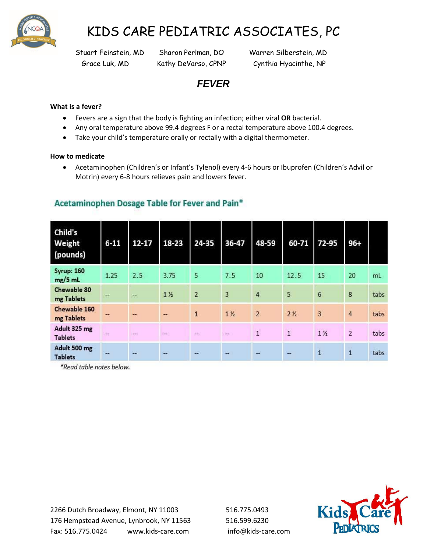

# KIDS CARE PEDIATRIC ASSOCIATES, PC

Stuart Feinstein, MD Sharon Perlman, DO Warren Silberstein, MD Grace Luk, MD Kathy DeVarso, CPNP Cynthia Hyacinthe, NP

## *FEVER*

### **What is a fever?**

- Fevers are a sign that the body is fighting an infection; either viral **OR** bacterial.
- Any oral temperature above 99.4 degrees F or a rectal temperature above 100.4 degrees.
- Take your child's temperature orally or rectally with a digital thermometer.

### **How to medicate**

 Acetaminophen (Children's or Infant's Tylenol) every 4-6 hours or Ibuprofen (Children's Advil or Motrin) every 6-8 hours relieves pain and lowers fever.

| Child's<br>Weight<br>(pounds)  | $6 - 11$       | $12 - 17$                | 18-23                    | 24-35                    | 36-47                   | 48-59          | 60-71          | 72-95          | $96 +$         |      |
|--------------------------------|----------------|--------------------------|--------------------------|--------------------------|-------------------------|----------------|----------------|----------------|----------------|------|
| <b>Syrup: 160</b><br>$mg/5$ mL | 1.25           | 2.5                      | 3.75                     | 5                        | 7.5                     | 10             | 12.5           | 15             | 20             | mL   |
| Chewable 80<br>mg Tablets      | ÷              | --                       | 1 <sub>2</sub>           | $\overline{2}$           | $\overline{\mathbf{3}}$ | $\overline{4}$ | 5              | $6\phantom{1}$ | 8              | tabs |
| Chewable 160<br>mg Tablets     | ₩,             | --                       | $\overline{\phantom{a}}$ | $\overline{1}$           | 1 <sub>2</sub>          | $\overline{2}$ | 2 <sub>2</sub> | 3              | $\overline{4}$ | tabs |
| Adult 325 mg<br><b>Tablets</b> | 44             | $\overline{\phantom{a}}$ | -                        | $\leftarrow$             | $\rightarrow$           | $\mathbf{1}$   | $\overline{1}$ | 1 <sub>2</sub> | $\overline{2}$ | tabs |
| Adult 500 mg<br><b>Tablets</b> | $\overline{ }$ | a.                       | $\overline{\phantom{a}}$ | $\overline{\phantom{a}}$ | -                       | and in         | a.             | $\mathbf{1}$   | $\overline{1}$ | tabs |

### Acetaminophen Dosage Table for Fever and Pain\*

\*Read table notes below.